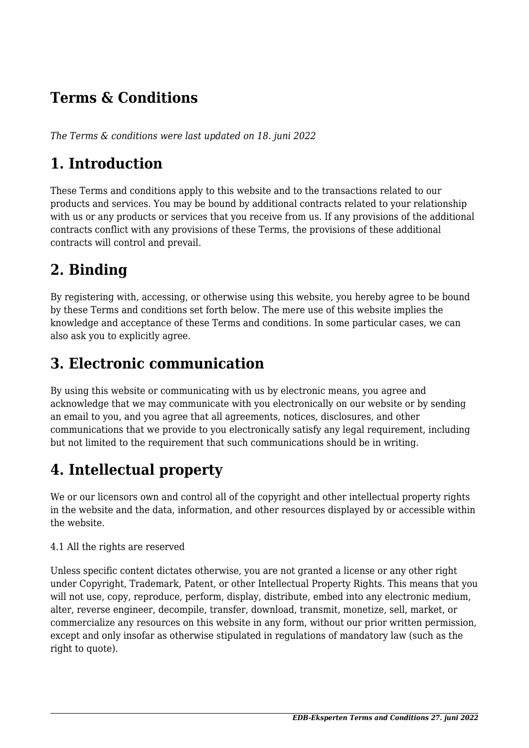## **Terms & Conditions**

*The Terms & conditions were last updated on 18. juni 2022*

## **1. Introduction**

These Terms and conditions apply to this website and to the transactions related to our products and services. You may be bound by additional contracts related to your relationship with us or any products or services that you receive from us. If any provisions of the additional contracts conflict with any provisions of these Terms, the provisions of these additional contracts will control and prevail.

# **2. Binding**

By registering with, accessing, or otherwise using this website, you hereby agree to be bound by these Terms and conditions set forth below. The mere use of this website implies the knowledge and acceptance of these Terms and conditions. In some particular cases, we can also ask you to explicitly agree.

### **3. Electronic communication**

By using this website or communicating with us by electronic means, you agree and acknowledge that we may communicate with you electronically on our website or by sending an email to you, and you agree that all agreements, notices, disclosures, and other communications that we provide to you electronically satisfy any legal requirement, including but not limited to the requirement that such communications should be in writing.

# **4. Intellectual property**

We or our licensors own and control all of the copyright and other intellectual property rights in the website and the data, information, and other resources displayed by or accessible within the website.

#### 4.1 All the rights are reserved

Unless specific content dictates otherwise, you are not granted a license or any other right under Copyright, Trademark, Patent, or other Intellectual Property Rights. This means that you will not use, copy, reproduce, perform, display, distribute, embed into any electronic medium, alter, reverse engineer, decompile, transfer, download, transmit, monetize, sell, market, or commercialize any resources on this website in any form, without our prior written permission, except and only insofar as otherwise stipulated in regulations of mandatory law (such as the right to quote).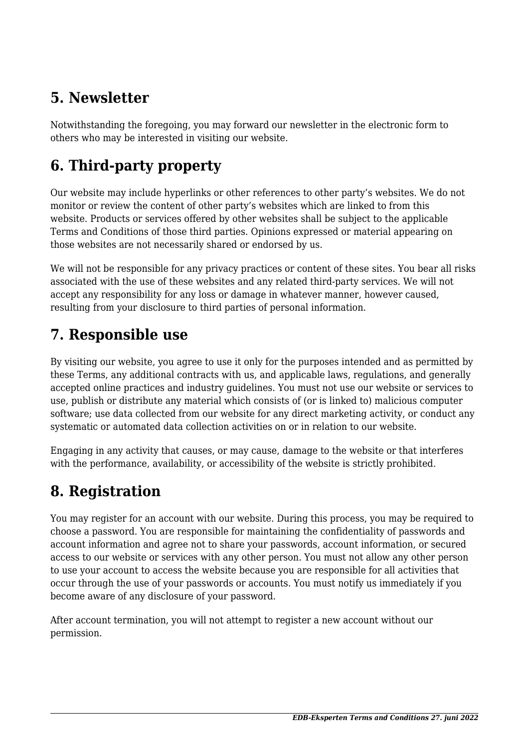# **5. Newsletter**

Notwithstanding the foregoing, you may forward our newsletter in the electronic form to others who may be interested in visiting our website.

# **6. Third-party property**

Our website may include hyperlinks or other references to other party's websites. We do not monitor or review the content of other party's websites which are linked to from this website. Products or services offered by other websites shall be subject to the applicable Terms and Conditions of those third parties. Opinions expressed or material appearing on those websites are not necessarily shared or endorsed by us.

We will not be responsible for any privacy practices or content of these sites. You bear all risks associated with the use of these websites and any related third-party services. We will not accept any responsibility for any loss or damage in whatever manner, however caused, resulting from your disclosure to third parties of personal information.

### **7. Responsible use**

By visiting our website, you agree to use it only for the purposes intended and as permitted by these Terms, any additional contracts with us, and applicable laws, regulations, and generally accepted online practices and industry guidelines. You must not use our website or services to use, publish or distribute any material which consists of (or is linked to) malicious computer software; use data collected from our website for any direct marketing activity, or conduct any systematic or automated data collection activities on or in relation to our website.

Engaging in any activity that causes, or may cause, damage to the website or that interferes with the performance, availability, or accessibility of the website is strictly prohibited.

# **8. Registration**

You may register for an account with our website. During this process, you may be required to choose a password. You are responsible for maintaining the confidentiality of passwords and account information and agree not to share your passwords, account information, or secured access to our website or services with any other person. You must not allow any other person to use your account to access the website because you are responsible for all activities that occur through the use of your passwords or accounts. You must notify us immediately if you become aware of any disclosure of your password.

After account termination, you will not attempt to register a new account without our permission.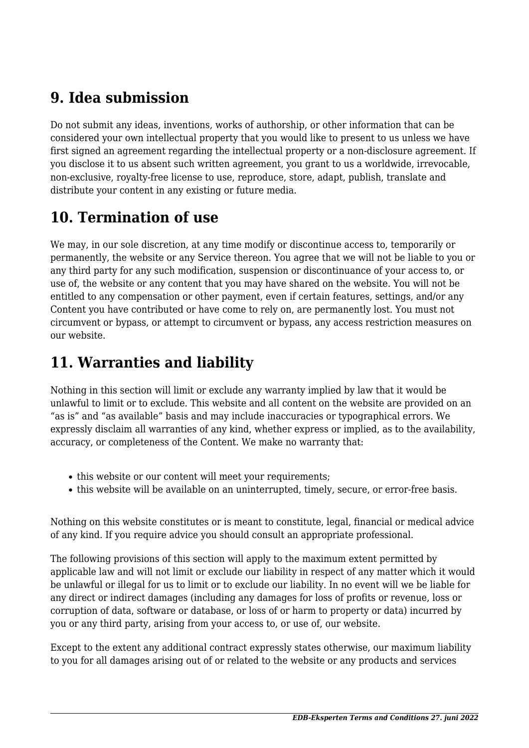## **9. Idea submission**

Do not submit any ideas, inventions, works of authorship, or other information that can be considered your own intellectual property that you would like to present to us unless we have first signed an agreement regarding the intellectual property or a non-disclosure agreement. If you disclose it to us absent such written agreement, you grant to us a worldwide, irrevocable, non-exclusive, royalty-free license to use, reproduce, store, adapt, publish, translate and distribute your content in any existing or future media.

# **10. Termination of use**

We may, in our sole discretion, at any time modify or discontinue access to, temporarily or permanently, the website or any Service thereon. You agree that we will not be liable to you or any third party for any such modification, suspension or discontinuance of your access to, or use of, the website or any content that you may have shared on the website. You will not be entitled to any compensation or other payment, even if certain features, settings, and/or any Content you have contributed or have come to rely on, are permanently lost. You must not circumvent or bypass, or attempt to circumvent or bypass, any access restriction measures on our website.

# **11. Warranties and liability**

Nothing in this section will limit or exclude any warranty implied by law that it would be unlawful to limit or to exclude. This website and all content on the website are provided on an "as is" and "as available" basis and may include inaccuracies or typographical errors. We expressly disclaim all warranties of any kind, whether express or implied, as to the availability, accuracy, or completeness of the Content. We make no warranty that:

- this website or our content will meet your requirements;
- this website will be available on an uninterrupted, timely, secure, or error-free basis.

Nothing on this website constitutes or is meant to constitute, legal, financial or medical advice of any kind. If you require advice you should consult an appropriate professional.

The following provisions of this section will apply to the maximum extent permitted by applicable law and will not limit or exclude our liability in respect of any matter which it would be unlawful or illegal for us to limit or to exclude our liability. In no event will we be liable for any direct or indirect damages (including any damages for loss of profits or revenue, loss or corruption of data, software or database, or loss of or harm to property or data) incurred by you or any third party, arising from your access to, or use of, our website.

Except to the extent any additional contract expressly states otherwise, our maximum liability to you for all damages arising out of or related to the website or any products and services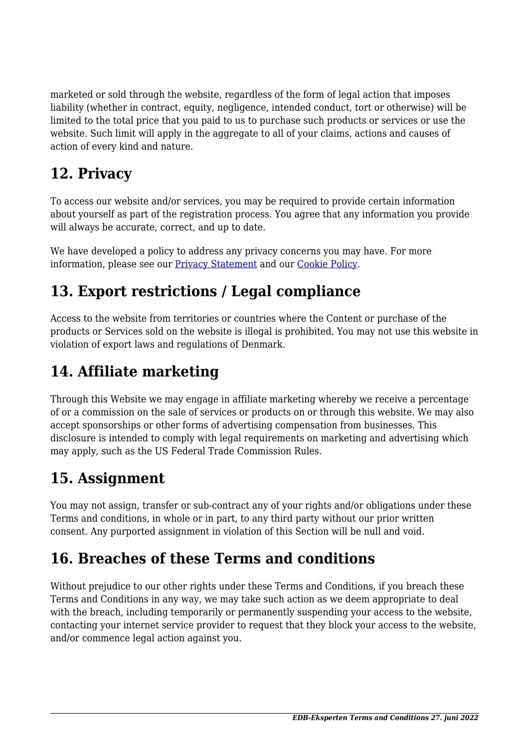marketed or sold through the website, regardless of the form of legal action that imposes liability (whether in contract, equity, negligence, intended conduct, tort or otherwise) will be limited to the total price that you paid to us to purchase such products or services or use the website. Such limit will apply in the aggregate to all of your claims, actions and causes of action of every kind and nature.

# **12. Privacy**

To access our website and/or services, you may be required to provide certain information about yourself as part of the registration process. You agree that any information you provide will always be accurate, correct, and up to date.

We have developed a policy to address any privacy concerns you may have. For more information, please see our [Privacy Statement](https://edb-eksperten.dk/privatlivspolitik/) and our [Cookie Policy](https://edb-eksperten.dk/cookiepolitik-eu/).

# **13. Export restrictions / Legal compliance**

Access to the website from territories or countries where the Content or purchase of the products or Services sold on the website is illegal is prohibited. You may not use this website in violation of export laws and regulations of Denmark.

# **14. Affiliate marketing**

Through this Website we may engage in affiliate marketing whereby we receive a percentage of or a commission on the sale of services or products on or through this website. We may also accept sponsorships or other forms of advertising compensation from businesses. This disclosure is intended to comply with legal requirements on marketing and advertising which may apply, such as the US Federal Trade Commission Rules.

# **15. Assignment**

You may not assign, transfer or sub-contract any of your rights and/or obligations under these Terms and conditions, in whole or in part, to any third party without our prior written consent. Any purported assignment in violation of this Section will be null and void.

# **16. Breaches of these Terms and conditions**

Without prejudice to our other rights under these Terms and Conditions, if you breach these Terms and Conditions in any way, we may take such action as we deem appropriate to deal with the breach, including temporarily or permanently suspending your access to the website, contacting your internet service provider to request that they block your access to the website, and/or commence legal action against you.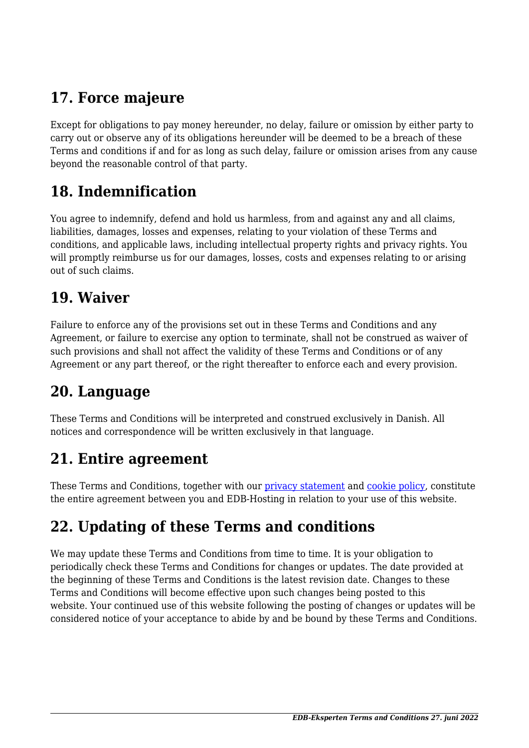# **17. Force majeure**

Except for obligations to pay money hereunder, no delay, failure or omission by either party to carry out or observe any of its obligations hereunder will be deemed to be a breach of these Terms and conditions if and for as long as such delay, failure or omission arises from any cause beyond the reasonable control of that party.

### **18. Indemnification**

You agree to indemnify, defend and hold us harmless, from and against any and all claims, liabilities, damages, losses and expenses, relating to your violation of these Terms and conditions, and applicable laws, including intellectual property rights and privacy rights. You will promptly reimburse us for our damages, losses, costs and expenses relating to or arising out of such claims.

#### **19. Waiver**

Failure to enforce any of the provisions set out in these Terms and Conditions and any Agreement, or failure to exercise any option to terminate, shall not be construed as waiver of such provisions and shall not affect the validity of these Terms and Conditions or of any Agreement or any part thereof, or the right thereafter to enforce each and every provision.

### **20. Language**

These Terms and Conditions will be interpreted and construed exclusively in Danish. All notices and correspondence will be written exclusively in that language.

#### **21. Entire agreement**

These Terms and Conditions, together with our [privacy statement](https://edb-eksperten.dk/privatlivspolitik/) and [cookie policy,](https://edb-eksperten.dk/cookiepolitik-eu/) constitute the entire agreement between you and EDB-Hosting in relation to your use of this website.

# **22. Updating of these Terms and conditions**

We may update these Terms and Conditions from time to time. It is your obligation to periodically check these Terms and Conditions for changes or updates. The date provided at the beginning of these Terms and Conditions is the latest revision date. Changes to these Terms and Conditions will become effective upon such changes being posted to this website. Your continued use of this website following the posting of changes or updates will be considered notice of your acceptance to abide by and be bound by these Terms and Conditions.